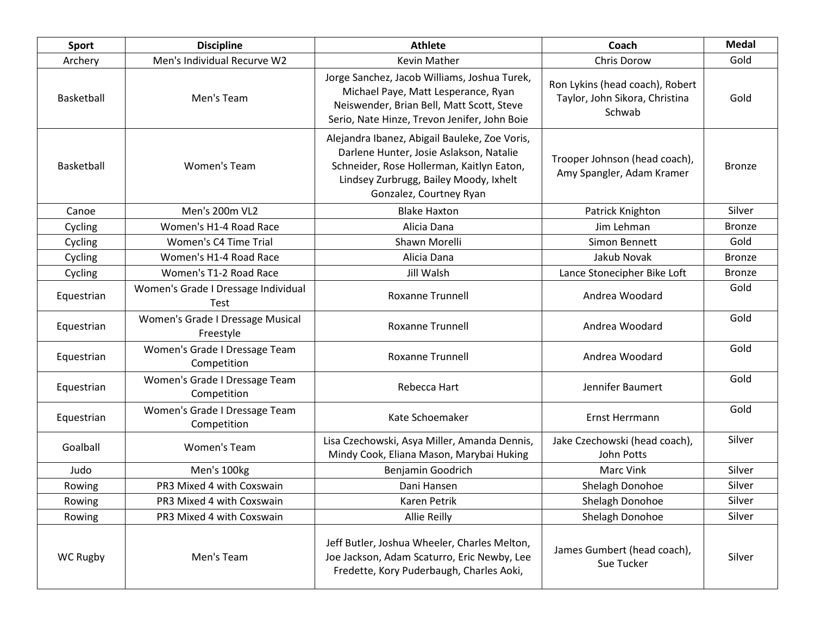| Sport      | <b>Discipline</b>                                  | <b>Athlete</b>                                                                                                                                                                                             | Coach                                                                       | <b>Medal</b>  |
|------------|----------------------------------------------------|------------------------------------------------------------------------------------------------------------------------------------------------------------------------------------------------------------|-----------------------------------------------------------------------------|---------------|
| Archery    | Men's Individual Recurve W2                        | Kevin Mather                                                                                                                                                                                               | Chris Dorow                                                                 | Gold          |
| Basketball | Men's Team                                         | Jorge Sanchez, Jacob Williams, Joshua Turek,<br>Michael Paye, Matt Lesperance, Ryan<br>Neiswender, Brian Bell, Matt Scott, Steve<br>Serio, Nate Hinze, Trevon Jenifer, John Boie                           | Ron Lykins (head coach), Robert<br>Taylor, John Sikora, Christina<br>Schwab | Gold          |
| Basketball | Women's Team                                       | Alejandra Ibanez, Abigail Bauleke, Zoe Voris,<br>Darlene Hunter, Josie Aslakson, Natalie<br>Schneider, Rose Hollerman, Kaitlyn Eaton,<br>Lindsey Zurbrugg, Bailey Moody, Ixhelt<br>Gonzalez, Courtney Ryan | Trooper Johnson (head coach),<br>Amy Spangler, Adam Kramer                  | <b>Bronze</b> |
| Canoe      | Men's 200m VL2                                     | <b>Blake Haxton</b>                                                                                                                                                                                        | Patrick Knighton                                                            | Silver        |
| Cycling    | Women's H1-4 Road Race                             | Alicia Dana                                                                                                                                                                                                | Jim Lehman                                                                  | <b>Bronze</b> |
| Cycling    | Women's C4 Time Trial                              | Shawn Morelli                                                                                                                                                                                              | Simon Bennett                                                               | Gold          |
| Cycling    | Women's H1-4 Road Race                             | Alicia Dana                                                                                                                                                                                                | Jakub Novak                                                                 | <b>Bronze</b> |
| Cycling    | Women's T1-2 Road Race                             | Jill Walsh                                                                                                                                                                                                 | Lance Stonecipher Bike Loft                                                 | <b>Bronze</b> |
| Equestrian | Women's Grade I Dressage Individual<br><b>Test</b> | <b>Roxanne Trunnell</b>                                                                                                                                                                                    | Andrea Woodard                                                              | Gold          |
| Equestrian | Women's Grade I Dressage Musical<br>Freestyle      | <b>Roxanne Trunnell</b>                                                                                                                                                                                    | Andrea Woodard                                                              | Gold          |
| Equestrian | Women's Grade I Dressage Team<br>Competition       | <b>Roxanne Trunnell</b>                                                                                                                                                                                    | Andrea Woodard                                                              | Gold          |
| Equestrian | Women's Grade I Dressage Team<br>Competition       | Rebecca Hart                                                                                                                                                                                               | Jennifer Baumert                                                            | Gold          |
| Equestrian | Women's Grade I Dressage Team<br>Competition       | Kate Schoemaker                                                                                                                                                                                            | Ernst Herrmann                                                              | Gold          |
| Goalball   | Women's Team                                       | Lisa Czechowski, Asya Miller, Amanda Dennis,<br>Mindy Cook, Eliana Mason, Marybai Huking                                                                                                                   | Jake Czechowski (head coach),<br>John Potts                                 | Silver        |
| Judo       | Men's 100kg                                        | Benjamin Goodrich                                                                                                                                                                                          | Marc Vink                                                                   | Silver        |
| Rowing     | PR3 Mixed 4 with Coxswain                          | Dani Hansen                                                                                                                                                                                                | Shelagh Donohoe                                                             | Silver        |
| Rowing     | PR3 Mixed 4 with Coxswain                          | Karen Petrik                                                                                                                                                                                               | Shelagh Donohoe                                                             | Silver        |
| Rowing     | PR3 Mixed 4 with Coxswain                          | <b>Allie Reilly</b>                                                                                                                                                                                        | Shelagh Donohoe                                                             | Silver        |
| WC Rugby   | Men's Team                                         | Jeff Butler, Joshua Wheeler, Charles Melton,<br>Joe Jackson, Adam Scaturro, Eric Newby, Lee<br>Fredette, Kory Puderbaugh, Charles Aoki,                                                                    | James Gumbert (head coach),<br>Sue Tucker                                   | Silver        |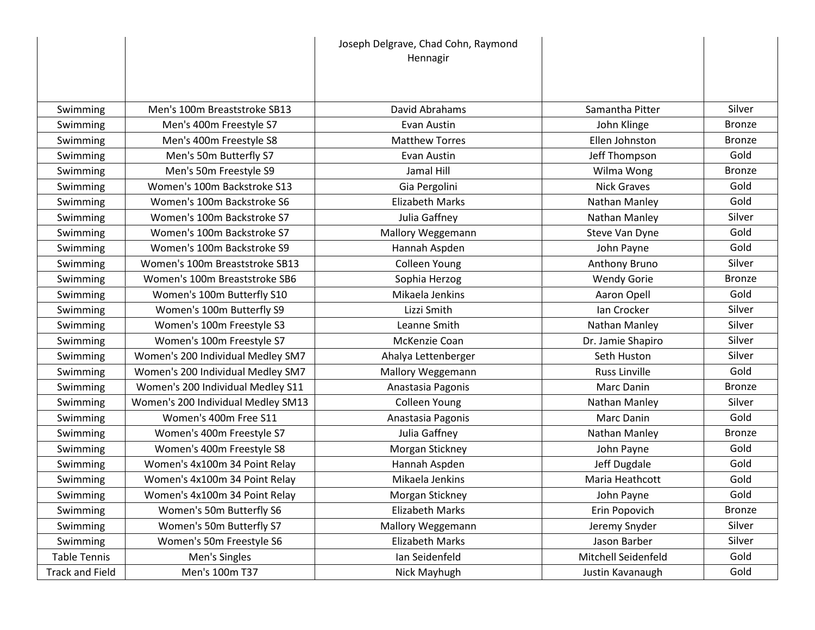|                        |                                    | Joseph Delgrave, Chad Cohn, Raymond<br>Hennagir |                      |               |
|------------------------|------------------------------------|-------------------------------------------------|----------------------|---------------|
|                        |                                    |                                                 |                      |               |
|                        |                                    |                                                 |                      |               |
| Swimming               | Men's 100m Breaststroke SB13       | David Abrahams                                  | Samantha Pitter      | Silver        |
| Swimming               | Men's 400m Freestyle S7            | Evan Austin                                     | John Klinge          | <b>Bronze</b> |
| Swimming               | Men's 400m Freestyle S8            | <b>Matthew Torres</b>                           | Ellen Johnston       | <b>Bronze</b> |
| Swimming               | Men's 50m Butterfly S7             | Evan Austin                                     | Jeff Thompson        | Gold          |
| Swimming               | Men's 50m Freestyle S9             | Jamal Hill                                      | Wilma Wong           | <b>Bronze</b> |
| Swimming               | Women's 100m Backstroke S13        | Gia Pergolini                                   | <b>Nick Graves</b>   | Gold          |
| Swimming               | Women's 100m Backstroke S6         | <b>Elizabeth Marks</b>                          | Nathan Manley        | Gold          |
| Swimming               | Women's 100m Backstroke S7         | Julia Gaffney                                   | Nathan Manley        | Silver        |
| Swimming               | Women's 100m Backstroke S7         | Mallory Weggemann                               | Steve Van Dyne       | Gold          |
| Swimming               | Women's 100m Backstroke S9         | Hannah Aspden                                   | John Payne           | Gold          |
| Swimming               | Women's 100m Breaststroke SB13     | Colleen Young                                   | Anthony Bruno        | Silver        |
| Swimming               | Women's 100m Breaststroke SB6      | Sophia Herzog                                   | <b>Wendy Gorie</b>   | <b>Bronze</b> |
| Swimming               | Women's 100m Butterfly S10         | Mikaela Jenkins                                 | Aaron Opell          | Gold          |
| Swimming               | Women's 100m Butterfly S9          | Lizzi Smith                                     | Ian Crocker          | Silver        |
| Swimming               | Women's 100m Freestyle S3          | Leanne Smith                                    | Nathan Manley        | Silver        |
| Swimming               | Women's 100m Freestyle S7          | McKenzie Coan                                   | Dr. Jamie Shapiro    | Silver        |
| Swimming               | Women's 200 Individual Medley SM7  | Ahalya Lettenberger                             | Seth Huston          | Silver        |
| Swimming               | Women's 200 Individual Medley SM7  | Mallory Weggemann                               | <b>Russ Linville</b> | Gold          |
| Swimming               | Women's 200 Individual Medley S11  | Anastasia Pagonis                               | Marc Danin           | <b>Bronze</b> |
| Swimming               | Women's 200 Individual Medley SM13 | <b>Colleen Young</b>                            | Nathan Manley        | Silver        |
| Swimming               | Women's 400m Free S11              | Anastasia Pagonis                               | Marc Danin           | Gold          |
| Swimming               | Women's 400m Freestyle S7          | Julia Gaffney                                   | Nathan Manley        | <b>Bronze</b> |
| Swimming               | Women's 400m Freestyle S8          | Morgan Stickney                                 | John Payne           | Gold          |
| Swimming               | Women's 4x100m 34 Point Relay      | Hannah Aspden                                   | Jeff Dugdale         | Gold          |
| Swimming               | Women's 4x100m 34 Point Relay      | Mikaela Jenkins                                 | Maria Heathcott      | Gold          |
| Swimming               | Women's 4x100m 34 Point Relay      | Morgan Stickney                                 | John Payne           | Gold          |
| Swimming               | Women's 50m Butterfly S6           | <b>Elizabeth Marks</b>                          | Erin Popovich        | <b>Bronze</b> |
| Swimming               | Women's 50m Butterfly S7           | Mallory Weggemann                               | Jeremy Snyder        | Silver        |
| Swimming               | Women's 50m Freestyle S6           | <b>Elizabeth Marks</b>                          | Jason Barber         | Silver        |
| <b>Table Tennis</b>    | Men's Singles                      | Ian Seidenfeld                                  | Mitchell Seidenfeld  | Gold          |
| <b>Track and Field</b> | Men's 100m T37                     | Nick Mayhugh                                    | Justin Kavanaugh     | Gold          |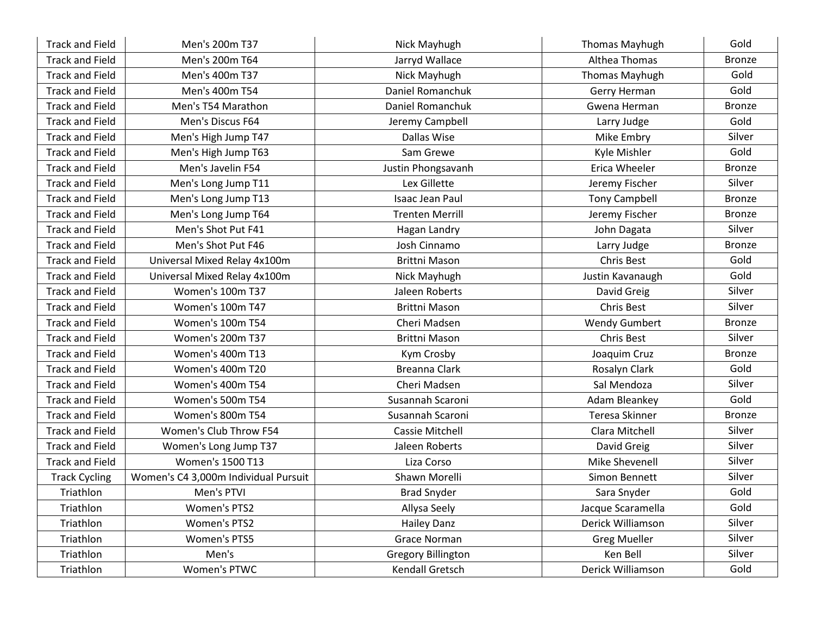| <b>Track and Field</b> | Men's 200m T37                       | Nick Mayhugh              | <b>Thomas Mayhugh</b> | Gold          |
|------------------------|--------------------------------------|---------------------------|-----------------------|---------------|
| <b>Track and Field</b> | Men's 200m T64                       | Jarryd Wallace            | Althea Thomas         | <b>Bronze</b> |
| <b>Track and Field</b> | Men's 400m T37                       | Nick Mayhugh              | <b>Thomas Mayhugh</b> | Gold          |
| <b>Track and Field</b> | Men's 400m T54                       | Daniel Romanchuk          | Gerry Herman          | Gold          |
| <b>Track and Field</b> | Men's T54 Marathon                   | Daniel Romanchuk          | Gwena Herman          | <b>Bronze</b> |
| <b>Track and Field</b> | Men's Discus F64                     | Jeremy Campbell           | Larry Judge           | Gold          |
| <b>Track and Field</b> | Men's High Jump T47                  | Dallas Wise               | Mike Embry            | Silver        |
| <b>Track and Field</b> | Men's High Jump T63                  | Sam Grewe                 | Kyle Mishler          | Gold          |
| <b>Track and Field</b> | Men's Javelin F54                    | Justin Phongsavanh        | Erica Wheeler         | <b>Bronze</b> |
| <b>Track and Field</b> | Men's Long Jump T11                  | Lex Gillette              | Jeremy Fischer        | Silver        |
| <b>Track and Field</b> | Men's Long Jump T13                  | Isaac Jean Paul           | <b>Tony Campbell</b>  | <b>Bronze</b> |
| <b>Track and Field</b> | Men's Long Jump T64                  | <b>Trenten Merrill</b>    | Jeremy Fischer        | <b>Bronze</b> |
| <b>Track and Field</b> | Men's Shot Put F41                   | Hagan Landry              | John Dagata           | Silver        |
| <b>Track and Field</b> | Men's Shot Put F46                   | Josh Cinnamo              | Larry Judge           | <b>Bronze</b> |
| <b>Track and Field</b> | Universal Mixed Relay 4x100m         | <b>Brittni Mason</b>      | Chris Best            | Gold          |
| <b>Track and Field</b> | Universal Mixed Relay 4x100m         | Nick Mayhugh              | Justin Kavanaugh      | Gold          |
| <b>Track and Field</b> | <b>Women's 100m T37</b>              | Jaleen Roberts            | David Greig           | Silver        |
| <b>Track and Field</b> | <b>Women's 100m T47</b>              | <b>Brittni Mason</b>      | Chris Best            | Silver        |
| <b>Track and Field</b> | <b>Women's 100m T54</b>              | Cheri Madsen              | <b>Wendy Gumbert</b>  | <b>Bronze</b> |
| <b>Track and Field</b> | Women's 200m T37                     | <b>Brittni Mason</b>      | Chris Best            | Silver        |
| <b>Track and Field</b> | Women's 400m T13                     | Kym Crosby                | Joaquim Cruz          | <b>Bronze</b> |
| <b>Track and Field</b> | Women's 400m T20                     | <b>Breanna Clark</b>      | Rosalyn Clark         | Gold          |
| <b>Track and Field</b> | <b>Women's 400m T54</b>              | Cheri Madsen              | Sal Mendoza           | Silver        |
| <b>Track and Field</b> | Women's 500m T54                     | Susannah Scaroni          | Adam Bleankey         | Gold          |
| <b>Track and Field</b> | Women's 800m T54                     | Susannah Scaroni          | Teresa Skinner        | <b>Bronze</b> |
| <b>Track and Field</b> | Women's Club Throw F54               | <b>Cassie Mitchell</b>    | Clara Mitchell        | Silver        |
| <b>Track and Field</b> | Women's Long Jump T37                | Jaleen Roberts            | David Greig           | Silver        |
| <b>Track and Field</b> | Women's 1500 T13                     | Liza Corso                | Mike Shevenell        | Silver        |
| <b>Track Cycling</b>   | Women's C4 3,000m Individual Pursuit | Shawn Morelli             | Simon Bennett         | Silver        |
| Triathlon              | Men's PTVI                           | <b>Brad Snyder</b>        | Sara Snyder           | Gold          |
| Triathlon              | Women's PTS2                         | Allysa Seely              | Jacque Scaramella     | Gold          |
| Triathlon              | Women's PTS2                         | <b>Hailey Danz</b>        | Derick Williamson     | Silver        |
| Triathlon              | Women's PTS5                         | Grace Norman              | <b>Greg Mueller</b>   | Silver        |
| Triathlon              | Men's                                | <b>Gregory Billington</b> | Ken Bell              | Silver        |
| Triathlon              | Women's PTWC                         | Kendall Gretsch           | Derick Williamson     | Gold          |